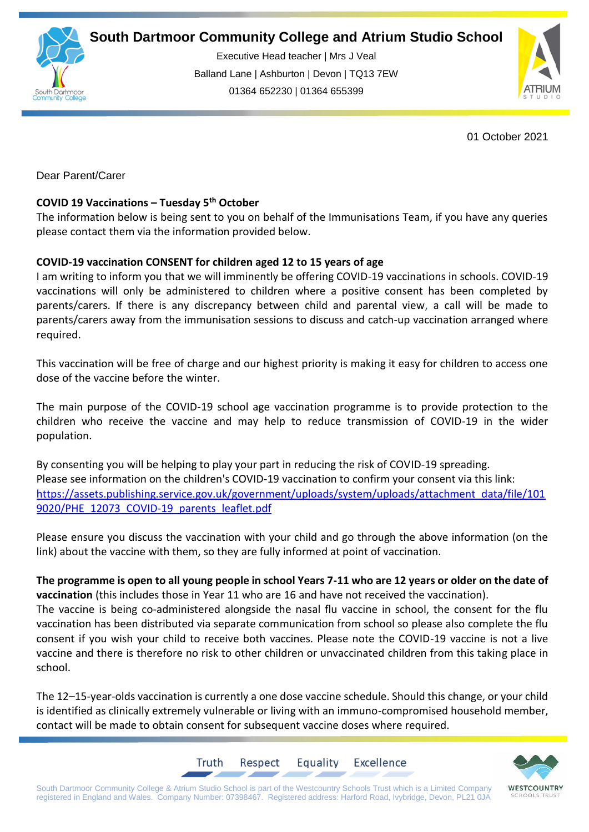

Executive Head teacher | Mrs J Veal Balland Lane | Ashburton | Devon | TQ13 7EW 01364 652230 | 01364 655399



01 October 2021

Dear Parent/Carer

## **COVID 19 Vaccinations – Tuesday 5th October**

The information below is being sent to you on behalf of the Immunisations Team, if you have any queries please contact them via the information provided below.

## **COVID-19 vaccination CONSENT for children aged 12 to 15 years of age**

I am writing to inform you that we will imminently be offering COVID-19 vaccinations in schools. COVID-19 vaccinations will only be administered to children where a positive consent has been completed by parents/carers. If there is any discrepancy between child and parental view, a call will be made to parents/carers away from the immunisation sessions to discuss and catch-up vaccination arranged where required.

This vaccination will be free of charge and our highest priority is making it easy for children to access one dose of the vaccine before the winter.

The main purpose of the COVID-19 school age vaccination programme is to provide protection to the children who receive the vaccine and may help to reduce transmission of COVID-19 in the wider population.

By consenting you will be helping to play your part in reducing the risk of COVID-19 spreading. Please see information on the children's COVID-19 vaccination to confirm your consent via this link: [https://assets.publishing.service.gov.uk/government/uploads/system/uploads/attachment\\_data/file/101](http://email.groupcallalert.com/ls/click?upn=YR3-2B-2Bfq6AGF0NHzyx6UGI-2FuzF-2FTHvWgJh0xOswptcmgGqbWqTTAqx-2Bwbp6HuqY0gb0XVYyDemhKElsVPMdd86T-2B9s2hqbTp4KGvG9kxwgRq0vg4H8U0HgPk8KqaqPZ-2FKbLtn65eQ-2F-2F0pnAQ2ocB3-2FQ89f44WMXx3b4d445VJo-2BXn1g1UDag991QwpGGnjr-2FWPwqZrajw4BZdXRwMIQLFto-2FjvAZMzF9hU3wR9iv1Ks2rorHZKEoHfpjWPG-2BWChMQvcBMXNW-2BCX6OK0HEwwQF7GHejr2VP-2FAQPKsLirRATuwtBsxoLALWMrCi3oneDMyzXQZZQB-2FYf8Y-2FJXkJDbNizR7whzhv3A1vuiouuNj-2BJFt0fTDwa5d7vJMkuk-2FVb1lMVbpc_D-2BG7CuR43iXKtkMJXihMbnmFbxX9V3-2FoBx97foI0XR-2BbIihLqYb6wWZ-2B8EHNs0ov0cR1Sca0FC8-2BGwlGGNHekSmh5GmXdqkQNueQNvr3FxeLOmqDO8IGdQ9sY3ZB483ogq45pMlFUyuC-2BhufvFt5AFBymyqc00tNaGvx3RwyacTSnr8kb5-2BFxsbrwNQfsMhcyYvxmKPkVPHvPjmRp39pdmlf-2BoBD9bKM5Bw66R-2BwvE8YwHDk1m4R8BEYDI7i8yNWrW6iTcG2HmvWjsS6Nxtb-2Bx7dH3ojpY1cLHH3sk-2BCcVz-2Bms5jQoewBYCLCwE8NoQI-2BdlNc1Dprox0G0hTstdCeoVb3LANzXJJRkFiGwNaAUga9EPY2P-2BwjKQjpkU4QKbjAVLljQH1BP0EAxGmqA7b2eZGoAYxSB53PMsKBz584ZmJvk41SG6FBpPdJI5iyZ-2Fr) [9020/PHE\\_12073\\_COVID-19\\_parents\\_leaflet.pdf](http://email.groupcallalert.com/ls/click?upn=YR3-2B-2Bfq6AGF0NHzyx6UGI-2FuzF-2FTHvWgJh0xOswptcmgGqbWqTTAqx-2Bwbp6HuqY0gb0XVYyDemhKElsVPMdd86T-2B9s2hqbTp4KGvG9kxwgRq0vg4H8U0HgPk8KqaqPZ-2FKbLtn65eQ-2F-2F0pnAQ2ocB3-2FQ89f44WMXx3b4d445VJo-2BXn1g1UDag991QwpGGnjr-2FWPwqZrajw4BZdXRwMIQLFto-2FjvAZMzF9hU3wR9iv1Ks2rorHZKEoHfpjWPG-2BWChMQvcBMXNW-2BCX6OK0HEwwQF7GHejr2VP-2FAQPKsLirRATuwtBsxoLALWMrCi3oneDMyzXQZZQB-2FYf8Y-2FJXkJDbNizR7whzhv3A1vuiouuNj-2BJFt0fTDwa5d7vJMkuk-2FVb1lMVbpc_D-2BG7CuR43iXKtkMJXihMbnmFbxX9V3-2FoBx97foI0XR-2BbIihLqYb6wWZ-2B8EHNs0ov0cR1Sca0FC8-2BGwlGGNHekSmh5GmXdqkQNueQNvr3FxeLOmqDO8IGdQ9sY3ZB483ogq45pMlFUyuC-2BhufvFt5AFBymyqc00tNaGvx3RwyacTSnr8kb5-2BFxsbrwNQfsMhcyYvxmKPkVPHvPjmRp39pdmlf-2BoBD9bKM5Bw66R-2BwvE8YwHDk1m4R8BEYDI7i8yNWrW6iTcG2HmvWjsS6Nxtb-2Bx7dH3ojpY1cLHH3sk-2BCcVz-2Bms5jQoewBYCLCwE8NoQI-2BdlNc1Dprox0G0hTstdCeoVb3LANzXJJRkFiGwNaAUga9EPY2P-2BwjKQjpkU4QKbjAVLljQH1BP0EAxGmqA7b2eZGoAYxSB53PMsKBz584ZmJvk41SG6FBpPdJI5iyZ-2Fr)

Please ensure you discuss the vaccination with your child and go through the above information (on the link) about the vaccine with them, so they are fully informed at point of vaccination.

**The programme is open to all young people in school Years 7-11 who are 12 years or older on the date of vaccination** (this includes those in Year 11 who are 16 and have not received the vaccination). The vaccine is being co-administered alongside the nasal flu vaccine in school, the consent for the flu vaccination has been distributed via separate communication from school so please also complete the flu consent if you wish your child to receive both vaccines. Please note the COVID-19 vaccine is not a live vaccine and there is therefore no risk to other children or unvaccinated children from this taking place in school.

The 12–15-year-olds vaccination is currently a one dose vaccine schedule. Should this change, or your child is identified as clinically extremely vulnerable or living with an immuno-compromised household member, contact will be made to obtain consent for subsequent vaccine doses where required.

Equality

**Excellence** 



South Dartmoor Community College & Atrium Studio School is part of the Westcountry Schools Trust which is a Limited Company registered in England and Wales. Company Number: 07398467. Registered address: Harford Road, Ivybridge, Devon, PL21 0JA

Respect

Truth